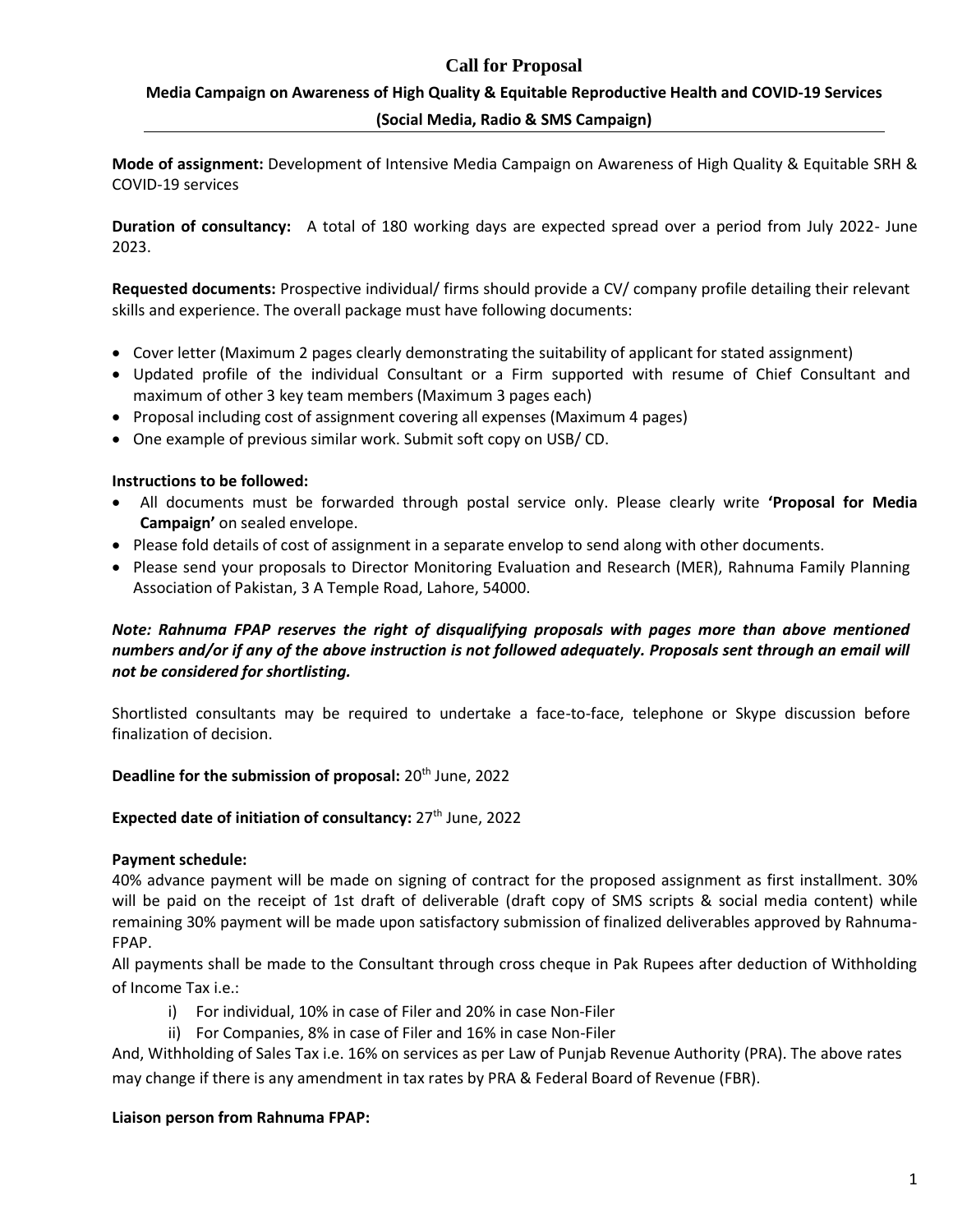## **Call for Proposal**

# **Media Campaign on Awareness of High Quality & Equitable Reproductive Health and COVID-19 Services (Social Media, Radio & SMS Campaign)**

**Mode of assignment:** Development of Intensive Media Campaign on Awareness of High Quality & Equitable SRH & COVID-19 services

**Duration of consultancy:** A total of 180 working days are expected spread over a period from July 2022- June 2023.

**Requested documents:** Prospective individual/ firms should provide a CV/ company profile detailing their relevant skills and experience. The overall package must have following documents:

- Cover letter (Maximum 2 pages clearly demonstrating the suitability of applicant for stated assignment)
- Updated profile of the individual Consultant or a Firm supported with resume of Chief Consultant and maximum of other 3 key team members (Maximum 3 pages each)
- Proposal including cost of assignment covering all expenses (Maximum 4 pages)
- One example of previous similar work. Submit soft copy on USB/ CD.

#### **Instructions to be followed:**

- All documents must be forwarded through postal service only. Please clearly write **'Proposal for Media Campaign'** on sealed envelope.
- Please fold details of cost of assignment in a separate envelop to send along with other documents.
- Please send your proposals to Director Monitoring Evaluation and Research (MER), Rahnuma Family Planning Association of Pakistan, 3 A Temple Road, Lahore, 54000.

## *Note: Rahnuma FPAP reserves the right of disqualifying proposals with pages more than above mentioned numbers and/or if any of the above instruction is not followed adequately. Proposals sent through an email will not be considered for shortlisting.*

Shortlisted consultants may be required to undertake a face-to-face, telephone or Skype discussion before finalization of decision.

#### **Deadline for the submission of proposal:** 20<sup>th</sup> June, 2022

#### **Expected date of initiation of consultancy:** 27<sup>th</sup> June, 2022

#### **Payment schedule:**

40% advance payment will be made on signing of contract for the proposed assignment as first installment. 30% will be paid on the receipt of 1st draft of deliverable (draft copy of SMS scripts & social media content) while remaining 30% payment will be made upon satisfactory submission of finalized deliverables approved by Rahnuma-FPAP.

All payments shall be made to the Consultant through cross cheque in Pak Rupees after deduction of Withholding of Income Tax i.e.:

- i) For individual, 10% in case of Filer and 20% in case Non-Filer
- ii) For Companies, 8% in case of Filer and 16% in case Non-Filer

And, Withholding of Sales Tax i.e. 16% on services as per Law of Punjab Revenue Authority (PRA). The above rates may change if there is any amendment in tax rates by PRA & Federal Board of Revenue (FBR).

#### **Liaison person from Rahnuma FPAP:**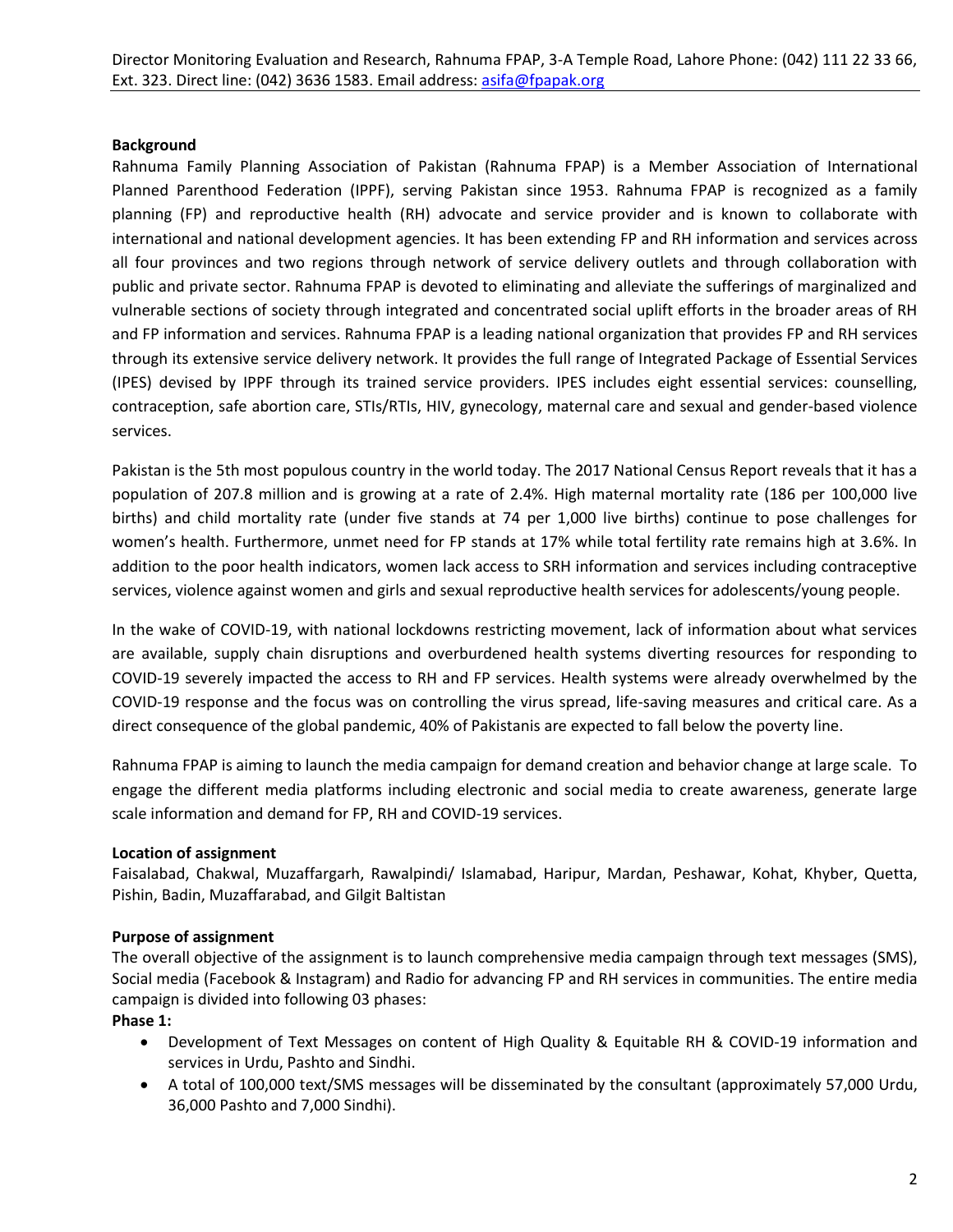Director Monitoring Evaluation and Research, Rahnuma FPAP, 3-A Temple Road, Lahore Phone: (042) 111 22 33 66, Ext. 323. Direct line: (042) 3636 1583. Email address[: asifa@fpapak.org](mailto:asifa@fpapak.org)

#### **Background**

Rahnuma Family Planning Association of Pakistan (Rahnuma FPAP) is a Member Association of International Planned Parenthood Federation (IPPF), serving Pakistan since 1953. Rahnuma FPAP is recognized as a family planning (FP) and reproductive health (RH) advocate and service provider and is known to collaborate with international and national development agencies. It has been extending FP and RH information and services across all four provinces and two regions through network of service delivery outlets and through collaboration with public and private sector. Rahnuma FPAP is devoted to eliminating and alleviate the sufferings of marginalized and vulnerable sections of society through integrated and concentrated social uplift efforts in the broader areas of RH and FP information and services. Rahnuma FPAP is a leading national organization that provides FP and RH services through its extensive service delivery network. It provides the full range of Integrated Package of Essential Services (IPES) devised by IPPF through its trained service providers. IPES includes eight essential services: counselling, contraception, safe abortion care, STIs/RTIs, HIV, gynecology, maternal care and sexual and gender-based violence services.

Pakistan is the 5th most populous country in the world today. The 2017 National Census Report reveals that it has a population of 207.8 million and is growing at a rate of 2.4%. High maternal mortality rate (186 per 100,000 live births) and child mortality rate (under five stands at 74 per 1,000 live births) continue to pose challenges for women's health. Furthermore, unmet need for FP stands at 17% while total fertility rate remains high at 3.6%. In addition to the poor health indicators, women lack access to SRH information and services including contraceptive services, violence against women and girls and sexual reproductive health services for adolescents/young people.

In the wake of COVID-19, with national lockdowns restricting movement, lack of information about what services are available, supply chain disruptions and overburdened health systems diverting resources for responding to COVID-19 severely impacted the access to RH and FP services. Health systems were already overwhelmed by the COVID-19 response and the focus was on controlling the virus spread, life-saving measures and critical care. As a direct consequence of the global pandemic, 40% of Pakistanis are expected to fall below the poverty line.

Rahnuma FPAP is aiming to launch the media campaign for demand creation and behavior change at large scale. To engage the different media platforms including electronic and social media to create awareness, generate large scale information and demand for FP, RH and COVID-19 services.

#### **Location of assignment**

Faisalabad, Chakwal, Muzaffargarh, Rawalpindi/ Islamabad, Haripur, Mardan, Peshawar, Kohat, Khyber, Quetta, Pishin, Badin, Muzaffarabad, and Gilgit Baltistan

#### **Purpose of assignment**

The overall objective of the assignment is to launch comprehensive media campaign through text messages (SMS), Social media (Facebook & Instagram) and Radio for advancing FP and RH services in communities. The entire media campaign is divided into following 03 phases:

**Phase 1:**

- Development of Text Messages on content of High Quality & Equitable RH & COVID-19 information and services in Urdu, Pashto and Sindhi.
- A total of 100,000 text/SMS messages will be disseminated by the consultant (approximately 57,000 Urdu, 36,000 Pashto and 7,000 Sindhi).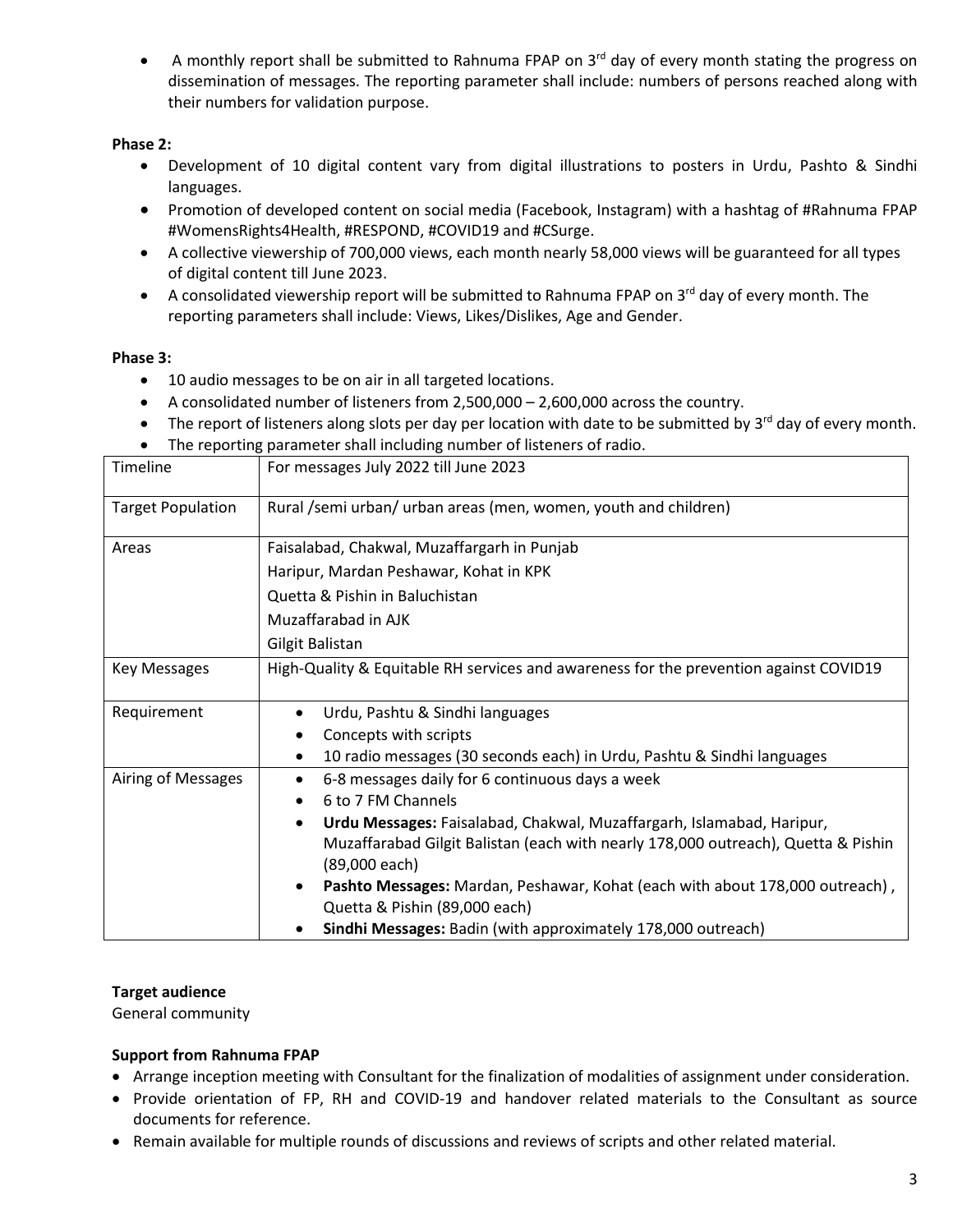A monthly report shall be submitted to Rahnuma FPAP on 3<sup>rd</sup> day of every month stating the progress on dissemination of messages. The reporting parameter shall include: numbers of persons reached along with their numbers for validation purpose.

## **Phase 2:**

- Development of 10 digital content vary from digital illustrations to posters in Urdu, Pashto & Sindhi languages.
- Promotion of developed content on social media (Facebook, Instagram) with a hashtag of #Rahnuma FPAP #WomensRights4Health, #RESPOND, #COVID19 and #CSurge.
- A collective viewership of 700,000 views, each month nearly 58,000 views will be guaranteed for all types of digital content till June 2023.
- A consolidated viewership report will be submitted to Rahnuma FPAP on 3<sup>rd</sup> day of every month. The reporting parameters shall include: Views, Likes/Dislikes, Age and Gender.

## **Phase 3:**

- 10 audio messages to be on air in all targeted locations.
- A consolidated number of listeners from 2,500,000 2,600,000 across the country.
- The report of listeners along slots per day per location with date to be submitted by  $3^{rd}$  day of every month.
- The reporting parameter shall including number of listeners of radio.

| Timeline                 | For messages July 2022 till June 2023                                                 |
|--------------------------|---------------------------------------------------------------------------------------|
| <b>Target Population</b> | Rural /semi urban/ urban areas (men, women, youth and children)                       |
| Areas                    | Faisalabad, Chakwal, Muzaffargarh in Punjab                                           |
|                          | Haripur, Mardan Peshawar, Kohat in KPK                                                |
|                          | Quetta & Pishin in Baluchistan                                                        |
|                          | Muzaffarabad in AJK                                                                   |
|                          | Gilgit Balistan                                                                       |
| <b>Key Messages</b>      | High-Quality & Equitable RH services and awareness for the prevention against COVID19 |
| Requirement              | Urdu, Pashtu & Sindhi languages<br>٠                                                  |
|                          | Concepts with scripts                                                                 |
|                          | 10 radio messages (30 seconds each) in Urdu, Pashtu & Sindhi languages                |
| Airing of Messages       | 6-8 messages daily for 6 continuous days a week                                       |
|                          | 6 to 7 FM Channels                                                                    |
|                          | Urdu Messages: Faisalabad, Chakwal, Muzaffargarh, Islamabad, Haripur,<br>٠            |
|                          | Muzaffarabad Gilgit Balistan (each with nearly 178,000 outreach), Quetta & Pishin     |
|                          | (89,000 each)                                                                         |
|                          | Pashto Messages: Mardan, Peshawar, Kohat (each with about 178,000 outreach),          |
|                          | Quetta & Pishin (89,000 each)                                                         |
|                          | Sindhi Messages: Badin (with approximately 178,000 outreach)                          |

#### **Target audience**

General community

#### **Support from Rahnuma FPAP**

- Arrange inception meeting with Consultant for the finalization of modalities of assignment under consideration.
- Provide orientation of FP, RH and COVID-19 and handover related materials to the Consultant as source documents for reference.
- Remain available for multiple rounds of discussions and reviews of scripts and other related material.